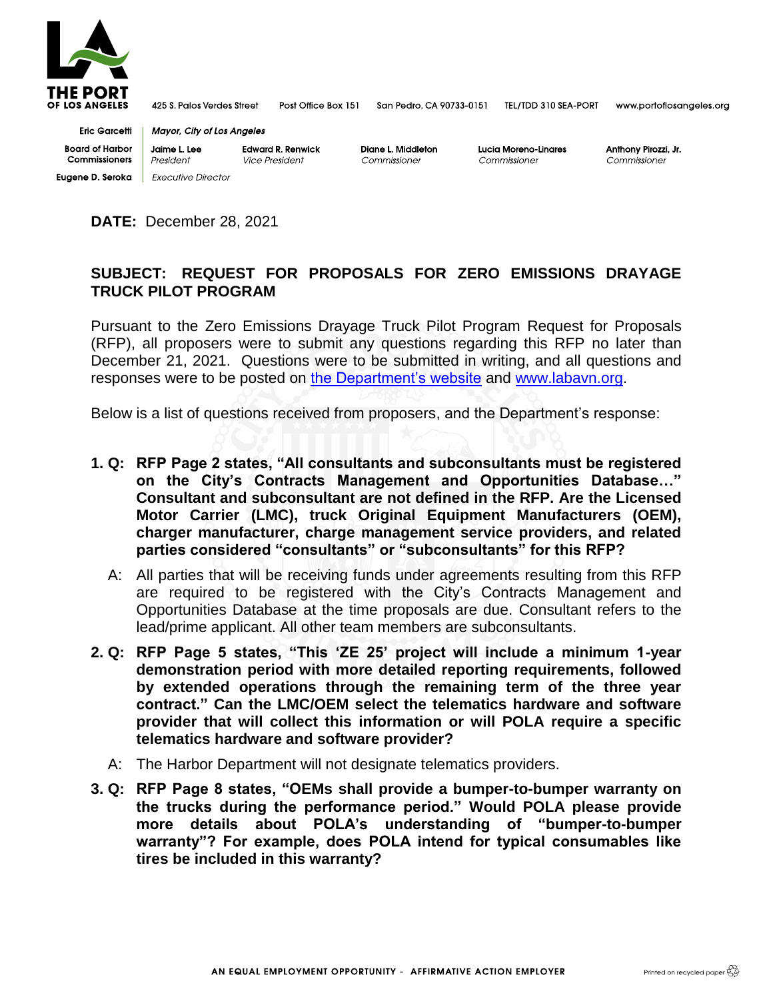

425 S. Palos Verdes Street

Post Office Box 151 San Pedro, CA 90733-0151 TEL/TDD 310 SEA-PORT

www.portoflosangeles.org

**Eric Garcetti Board of Harbor** Commissioners **Eugene D. Seroka** | Executive Director

**Mayor, City of Los Angeles** Jaime L. Lee **Edward R. Renwick** 

President Vice President **Diane L Middleton** Commissioner

Lucia Moreno-Linares Commissioner

Anthony Pirozzi, Jr. Commissioner

**DATE:** December 28, 2021

## **SUBJECT: REQUEST FOR PROPOSALS FOR ZERO EMISSIONS DRAYAGE TRUCK PILOT PROGRAM**

Pursuant to the Zero Emissions Drayage Truck Pilot Program Request for Proposals (RFP), all proposers were to submit any questions regarding this RFP no later than December 21, 2021. Questions were to be submitted in writing, and all questions and responses were to be posted on [the Department's website](https://www.portoflosangeles.org/business/contracting-opportunities/requests-for-proposals) and [www.labavn.org.](http://www.labavn.org/)

Below is a list of questions received from proposers, and the Department's response:

- **1. Q: RFP Page 2 states, "All consultants and subconsultants must be registered on the City's Contracts Management and Opportunities Database…" Consultant and subconsultant are not defined in the RFP. Are the Licensed Motor Carrier (LMC), truck Original Equipment Manufacturers (OEM), charger manufacturer, charge management service providers, and related parties considered "consultants" or "subconsultants" for this RFP?**
	- A: All parties that will be receiving funds under agreements resulting from this RFP are required to be registered with the City's Contracts Management and Opportunities Database at the time proposals are due. Consultant refers to the lead/prime applicant. All other team members are subconsultants.
- **2. Q: RFP Page 5 states, "This 'ZE 25' project will include a minimum 1-year demonstration period with more detailed reporting requirements, followed by extended operations through the remaining term of the three year contract." Can the LMC/OEM select the telematics hardware and software provider that will collect this information or will POLA require a specific telematics hardware and software provider?**
	- A: The Harbor Department will not designate telematics providers.
- **3. Q: RFP Page 8 states, "OEMs shall provide a bumper-to-bumper warranty on the trucks during the performance period." Would POLA please provide more details about POLA's understanding of "bumper-to-bumper warranty"? For example, does POLA intend for typical consumables like tires be included in this warranty?**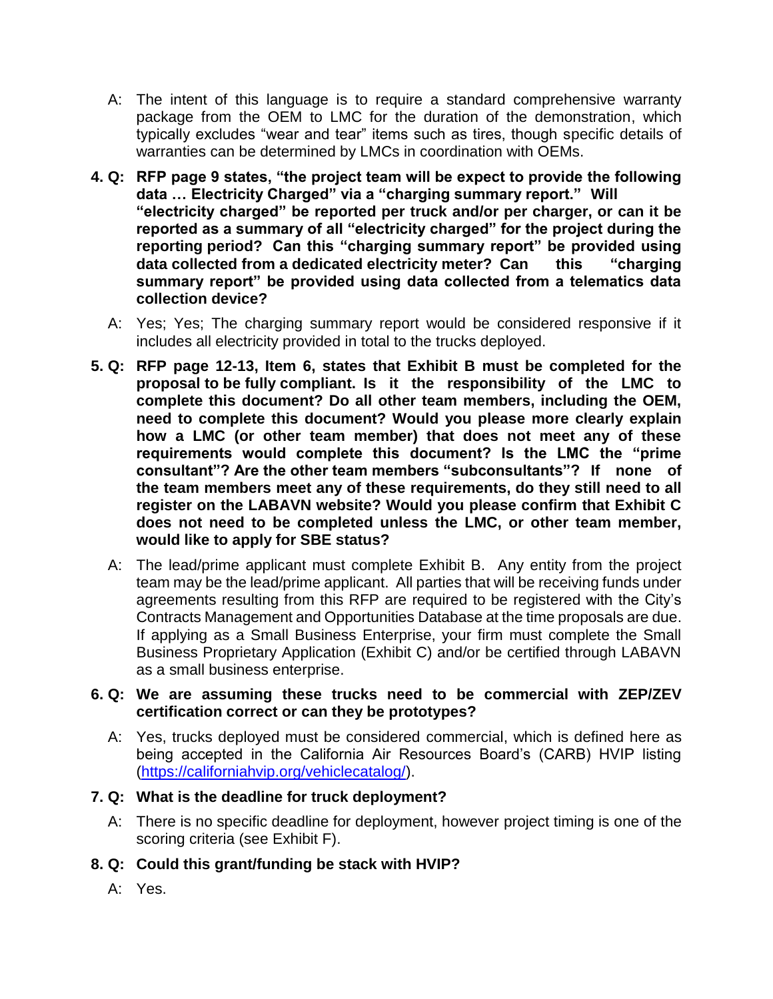- A: The intent of this language is to require a standard comprehensive warranty package from the OEM to LMC for the duration of the demonstration, which typically excludes "wear and tear" items such as tires, though specific details of warranties can be determined by LMCs in coordination with OEMs.
- **4. Q: RFP page 9 states, "the project team will be expect to provide the following data … Electricity Charged" via a "charging summary report." Will "electricity charged" be reported per truck and/or per charger, or can it be reported as a summary of all "electricity charged" for the project during the reporting period? Can this "charging summary report" be provided using data collected from a dedicated electricity meter? Can this "charging summary report" be provided using data collected from a telematics data collection device?**
	- A: Yes; Yes; The charging summary report would be considered responsive if it includes all electricity provided in total to the trucks deployed.
- **5. Q: RFP page 12-13, Item 6, states that Exhibit B must be completed for the proposal to be fully compliant. Is it the responsibility of the LMC to complete this document? Do all other team members, including the OEM, need to complete this document? Would you please more clearly explain how a LMC (or other team member) that does not meet any of these requirements would complete this document? Is the LMC the "prime consultant"? Are the other team members "subconsultants"? If none of the team members meet any of these requirements, do they still need to all register on the LABAVN website? Would you please confirm that Exhibit C does not need to be completed unless the LMC, or other team member, would like to apply for SBE status?**
	- A: The lead/prime applicant must complete Exhibit B. Any entity from the project team may be the lead/prime applicant. All parties that will be receiving funds under agreements resulting from this RFP are required to be registered with the City's Contracts Management and Opportunities Database at the time proposals are due. If applying as a Small Business Enterprise, your firm must complete the Small Business Proprietary Application (Exhibit C) and/or be certified through LABAVN as a small business enterprise.

#### **6. Q: We are assuming these trucks need to be commercial with ZEP/ZEV certification correct or can they be prototypes?**

 A: Yes, trucks deployed must be considered commercial, which is defined here as being accepted in the California Air Resources Board's (CARB) HVIP listing [\(https://californiahvip.org/vehiclecatalog/\)](https://californiahvip.org/vehiclecatalog/).

#### **7. Q: What is the deadline for truck deployment?**

- A: There is no specific deadline for deployment, however project timing is one of the scoring criteria (see Exhibit F).
- **8. Q: Could this grant/funding be stack with HVIP?**
	- A: Yes.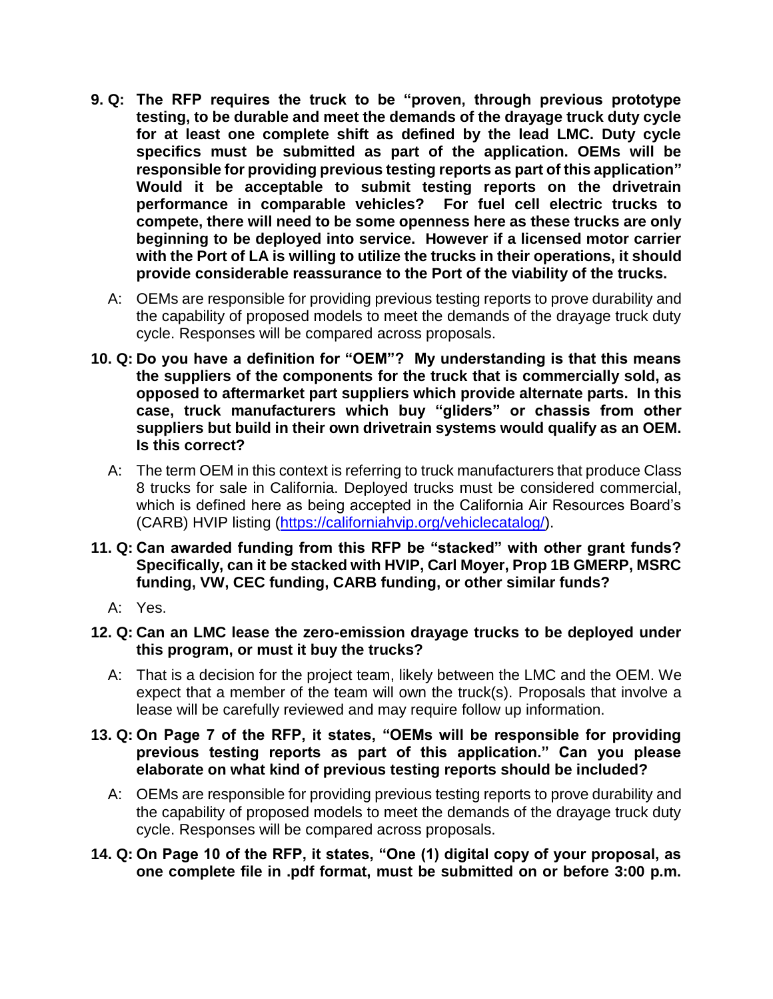- **9. Q: The RFP requires the truck to be "proven, through previous prototype testing, to be durable and meet the demands of the drayage truck duty cycle for at least one complete shift as defined by the lead LMC. Duty cycle specifics must be submitted as part of the application. OEMs will be responsible for providing previous testing reports as part of this application" Would it be acceptable to submit testing reports on the drivetrain performance in comparable vehicles? For fuel cell electric trucks to compete, there will need to be some openness here as these trucks are only beginning to be deployed into service. However if a licensed motor carrier with the Port of LA is willing to utilize the trucks in their operations, it should provide considerable reassurance to the Port of the viability of the trucks.**
	- A: OEMs are responsible for providing previous testing reports to prove durability and the capability of proposed models to meet the demands of the drayage truck duty cycle. Responses will be compared across proposals.
- **10. Q: Do you have a definition for "OEM"? My understanding is that this means the suppliers of the components for the truck that is commercially sold, as opposed to aftermarket part suppliers which provide alternate parts. In this case, truck manufacturers which buy "gliders" or chassis from other suppliers but build in their own drivetrain systems would qualify as an OEM. Is this correct?**
	- A: The term OEM in this context is referring to truck manufacturers that produce Class 8 trucks for sale in California. Deployed trucks must be considered commercial, which is defined here as being accepted in the California Air Resources Board's (CARB) HVIP listing [\(https://californiahvip.org/vehiclecatalog/\)](https://californiahvip.org/vehiclecatalog/).
- **11. Q: Can awarded funding from this RFP be "stacked" with other grant funds? Specifically, can it be stacked with HVIP, Carl Moyer, Prop 1B GMERP, MSRC funding, VW, CEC funding, CARB funding, or other similar funds?**
	- A: Yes.
- **12. Q: Can an LMC lease the zero-emission drayage trucks to be deployed under this program, or must it buy the trucks?**
	- A: That is a decision for the project team, likely between the LMC and the OEM. We expect that a member of the team will own the truck(s). Proposals that involve a lease will be carefully reviewed and may require follow up information.
- **13. Q: On Page 7 of the RFP, it states, "OEMs will be responsible for providing previous testing reports as part of this application." Can you please elaborate on what kind of previous testing reports should be included?**
	- A: OEMs are responsible for providing previous testing reports to prove durability and the capability of proposed models to meet the demands of the drayage truck duty cycle. Responses will be compared across proposals.
- **14. Q: On Page 10 of the RFP, it states, "One (1) digital copy of your proposal, as one complete file in .pdf format, must be submitted on or before 3:00 p.m.**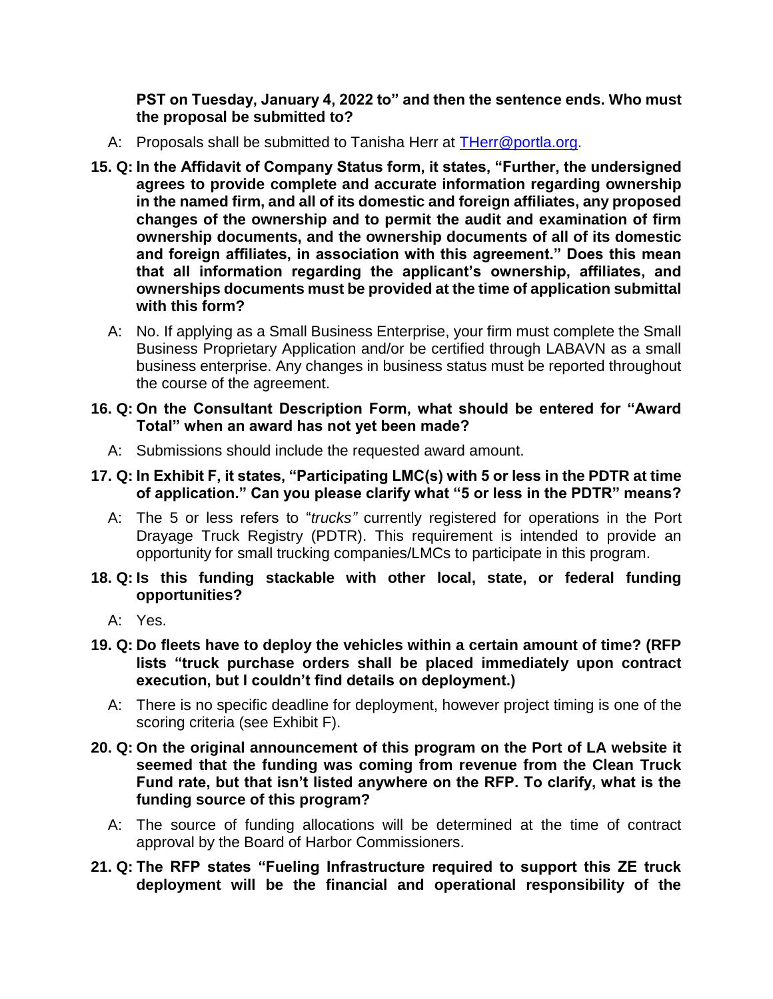**PST on Tuesday, January 4, 2022 to" and then the sentence ends. Who must the proposal be submitted to?**

- A: Proposals shall be submitted to Tanisha Herr at [THerr@portla.org.](mailto:THerr@portla.org)
- **15. Q: In the Affidavit of Company Status form, it states, "Further, the undersigned agrees to provide complete and accurate information regarding ownership in the named firm, and all of its domestic and foreign affiliates, any proposed changes of the ownership and to permit the audit and examination of firm ownership documents, and the ownership documents of all of its domestic and foreign affiliates, in association with this agreement." Does this mean that all information regarding the applicant's ownership, affiliates, and ownerships documents must be provided at the time of application submittal with this form?**
	- A: No. If applying as a Small Business Enterprise, your firm must complete the Small Business Proprietary Application and/or be certified through LABAVN as a small business enterprise. Any changes in business status must be reported throughout the course of the agreement.

#### **16. Q: On the Consultant Description Form, what should be entered for "Award Total" when an award has not yet been made?**

- A: Submissions should include the requested award amount.
- **17. Q: In Exhibit F, it states, "Participating LMC(s) with 5 or less in the PDTR at time of application." Can you please clarify what "5 or less in the PDTR" means?**
	- A: The 5 or less refers to "*trucks"* currently registered for operations in the Port Drayage Truck Registry (PDTR). This requirement is intended to provide an opportunity for small trucking companies/LMCs to participate in this program.
- **18. Q: Is this funding stackable with other local, state, or federal funding opportunities?**
	- A: Yes.
- **19. Q: Do fleets have to deploy the vehicles within a certain amount of time? (RFP lists "truck purchase orders shall be placed immediately upon contract execution, but I couldn't find details on deployment.)**
	- A: There is no specific deadline for deployment, however project timing is one of the scoring criteria (see Exhibit F).
- **20. Q: On the original announcement of this program on the Port of LA website it seemed that the funding was coming from revenue from the Clean Truck Fund rate, but that isn't listed anywhere on the RFP. To clarify, what is the funding source of this program?**
	- A: The source of funding allocations will be determined at the time of contract approval by the Board of Harbor Commissioners.
- **21. Q: The RFP states "Fueling Infrastructure required to support this ZE truck deployment will be the financial and operational responsibility of the**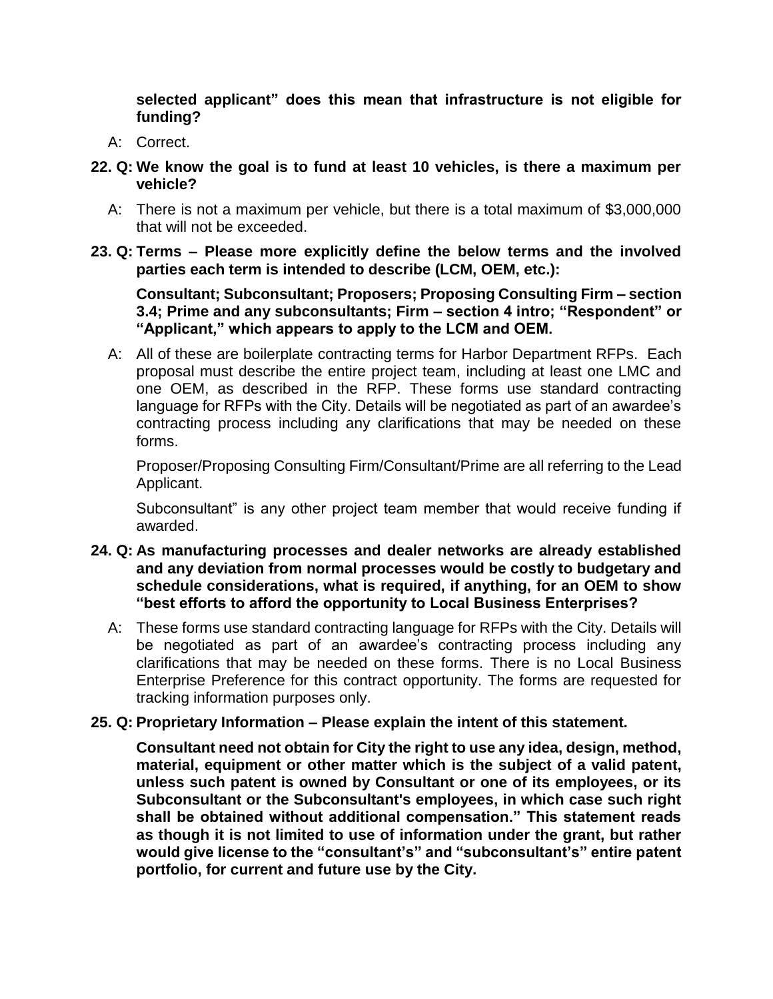**selected applicant" does this mean that infrastructure is not eligible for funding?**

- A: Correct.
- **22. Q: We know the goal is to fund at least 10 vehicles, is there a maximum per vehicle?**
	- A: There is not a maximum per vehicle, but there is a total maximum of \$3,000,000 that will not be exceeded.
- **23. Q: Terms – Please more explicitly define the below terms and the involved parties each term is intended to describe (LCM, OEM, etc.):**

**Consultant; Subconsultant; Proposers; Proposing Consulting Firm – section 3.4; Prime and any subconsultants; Firm – section 4 intro; "Respondent" or "Applicant," which appears to apply to the LCM and OEM.**

 A: All of these are boilerplate contracting terms for Harbor Department RFPs. Each proposal must describe the entire project team, including at least one LMC and one OEM, as described in the RFP. These forms use standard contracting language for RFPs with the City. Details will be negotiated as part of an awardee's contracting process including any clarifications that may be needed on these forms.

Proposer/Proposing Consulting Firm/Consultant/Prime are all referring to the Lead Applicant.

Subconsultant" is any other project team member that would receive funding if awarded.

- **24. Q: As manufacturing processes and dealer networks are already established and any deviation from normal processes would be costly to budgetary and schedule considerations, what is required, if anything, for an OEM to show "best efforts to afford the opportunity to Local Business Enterprises?**
	- A: These forms use standard contracting language for RFPs with the City. Details will be negotiated as part of an awardee's contracting process including any clarifications that may be needed on these forms. There is no Local Business Enterprise Preference for this contract opportunity. The forms are requested for tracking information purposes only.

#### **25. Q: Proprietary Information – Please explain the intent of this statement.**

**Consultant need not obtain for City the right to use any idea, design, method, material, equipment or other matter which is the subject of a valid patent, unless such patent is owned by Consultant or one of its employees, or its Subconsultant or the Subconsultant's employees, in which case such right shall be obtained without additional compensation." This statement reads as though it is not limited to use of information under the grant, but rather would give license to the "consultant's" and "subconsultant's" entire patent portfolio, for current and future use by the City.**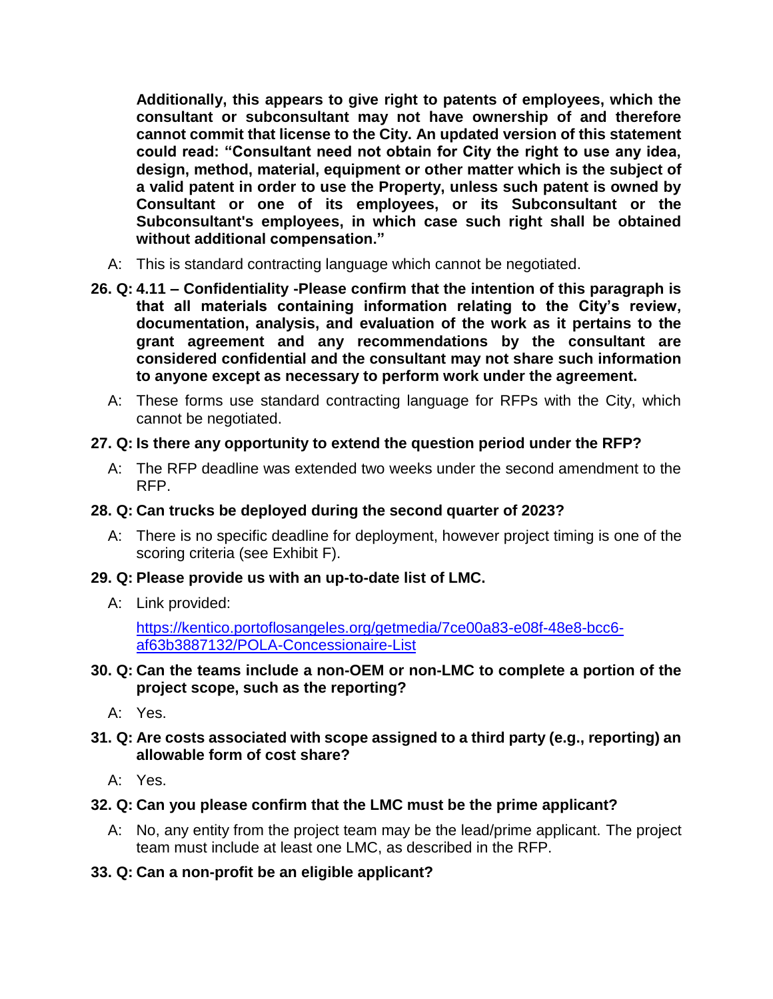**Additionally, this appears to give right to patents of employees, which the consultant or subconsultant may not have ownership of and therefore cannot commit that license to the City. An updated version of this statement could read: "Consultant need not obtain for City the right to use any idea, design, method, material, equipment or other matter which is the subject of a valid patent in order to use the Property, unless such patent is owned by Consultant or one of its employees, or its Subconsultant or the Subconsultant's employees, in which case such right shall be obtained without additional compensation."**

- A: This is standard contracting language which cannot be negotiated.
- **26. Q: 4.11 – Confidentiality -Please confirm that the intention of this paragraph is that all materials containing information relating to the City's review, documentation, analysis, and evaluation of the work as it pertains to the grant agreement and any recommendations by the consultant are considered confidential and the consultant may not share such information to anyone except as necessary to perform work under the agreement.**
	- A: These forms use standard contracting language for RFPs with the City, which cannot be negotiated.

# **27. Q: Is there any opportunity to extend the question period under the RFP?**

 A: The RFP deadline was extended two weeks under the second amendment to the RFP.

# **28. Q: Can trucks be deployed during the second quarter of 2023?**

 A: There is no specific deadline for deployment, however project timing is one of the scoring criteria (see Exhibit F).

#### **29. Q: Please provide us with an up-to-date list of LMC.**

A: Link provided:

[https://kentico.portoflosangeles.org/getmedia/7ce00a83-e08f-48e8-bcc6](https://kentico.portoflosangeles.org/getmedia/7ce00a83-e08f-48e8-bcc6-af63b3887132/POLA-Concessionaire-List) [af63b3887132/POLA-Concessionaire-List](https://kentico.portoflosangeles.org/getmedia/7ce00a83-e08f-48e8-bcc6-af63b3887132/POLA-Concessionaire-List)

## **30. Q: Can the teams include a non-OEM or non-LMC to complete a portion of the project scope, such as the reporting?**

A: Yes.

## **31. Q: Are costs associated with scope assigned to a third party (e.g., reporting) an allowable form of cost share?**

A: Yes.

# **32. Q: Can you please confirm that the LMC must be the prime applicant?**

 A: No, any entity from the project team may be the lead/prime applicant. The project team must include at least one LMC, as described in the RFP.

# **33. Q: Can a non-profit be an eligible applicant?**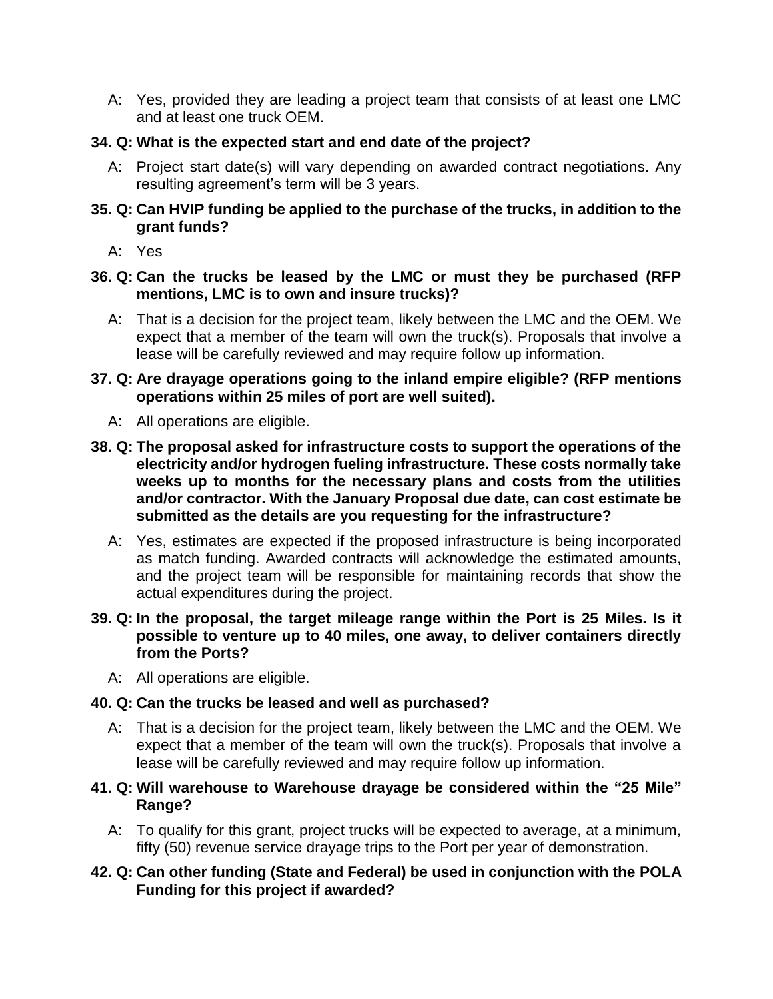A: Yes, provided they are leading a project team that consists of at least one LMC and at least one truck OEM.

## **34. Q: What is the expected start and end date of the project?**

- A: Project start date(s) will vary depending on awarded contract negotiations. Any resulting agreement's term will be 3 years.
- **35. Q: Can HVIP funding be applied to the purchase of the trucks, in addition to the grant funds?**
	- A: Yes
- **36. Q: Can the trucks be leased by the LMC or must they be purchased (RFP mentions, LMC is to own and insure trucks)?**
	- A: That is a decision for the project team, likely between the LMC and the OEM. We expect that a member of the team will own the truck(s). Proposals that involve a lease will be carefully reviewed and may require follow up information.
- **37. Q: Are drayage operations going to the inland empire eligible? (RFP mentions operations within 25 miles of port are well suited).**
	- A: All operations are eligible.
- **38. Q: The proposal asked for infrastructure costs to support the operations of the electricity and/or hydrogen fueling infrastructure. These costs normally take weeks up to months for the necessary plans and costs from the utilities and/or contractor. With the January Proposal due date, can cost estimate be submitted as the details are you requesting for the infrastructure?**
	- A: Yes, estimates are expected if the proposed infrastructure is being incorporated as match funding. Awarded contracts will acknowledge the estimated amounts, and the project team will be responsible for maintaining records that show the actual expenditures during the project.
- **39. Q: In the proposal, the target mileage range within the Port is 25 Miles. Is it possible to venture up to 40 miles, one away, to deliver containers directly from the Ports?**
	- A: All operations are eligible.

# **40. Q: Can the trucks be leased and well as purchased?**

- A: That is a decision for the project team, likely between the LMC and the OEM. We expect that a member of the team will own the truck(s). Proposals that involve a lease will be carefully reviewed and may require follow up information.
- **41. Q: Will warehouse to Warehouse drayage be considered within the "25 Mile" Range?** 
	- A: To qualify for this grant, project trucks will be expected to average, at a minimum, fifty (50) revenue service drayage trips to the Port per year of demonstration.

## **42. Q: Can other funding (State and Federal) be used in conjunction with the POLA Funding for this project if awarded?**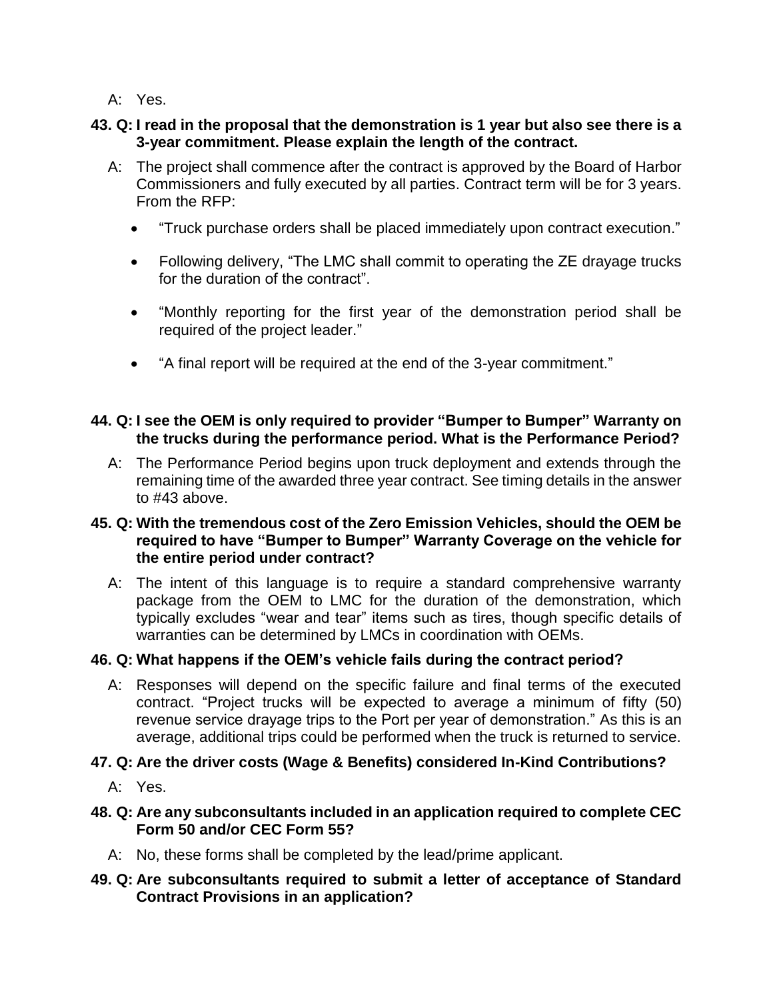A: Yes.

# **43. Q: I read in the proposal that the demonstration is 1 year but also see there is a 3-year commitment. Please explain the length of the contract.**

- A: The project shall commence after the contract is approved by the Board of Harbor Commissioners and fully executed by all parties. Contract term will be for 3 years. From the RFP:
	- "Truck purchase orders shall be placed immediately upon contract execution."
	- Following delivery, "The LMC shall commit to operating the ZE drayage trucks for the duration of the contract".
	- "Monthly reporting for the first year of the demonstration period shall be required of the project leader."
	- "A final report will be required at the end of the 3-year commitment."

## **44. Q: I see the OEM is only required to provider "Bumper to Bumper" Warranty on the trucks during the performance period. What is the Performance Period?**

 A: The Performance Period begins upon truck deployment and extends through the remaining time of the awarded three year contract. See timing details in the answer to #43 above.

## **45. Q: With the tremendous cost of the Zero Emission Vehicles, should the OEM be required to have "Bumper to Bumper" Warranty Coverage on the vehicle for the entire period under contract?**

 A: The intent of this language is to require a standard comprehensive warranty package from the OEM to LMC for the duration of the demonstration, which typically excludes "wear and tear" items such as tires, though specific details of warranties can be determined by LMCs in coordination with OEMs.

# **46. Q: What happens if the OEM's vehicle fails during the contract period?**

 A: Responses will depend on the specific failure and final terms of the executed contract. "Project trucks will be expected to average a minimum of fifty (50) revenue service drayage trips to the Port per year of demonstration." As this is an average, additional trips could be performed when the truck is returned to service.

# **47. Q: Are the driver costs (Wage & Benefits) considered In-Kind Contributions?**

- A: Yes.
- **48. Q: Are any subconsultants included in an application required to complete CEC Form 50 and/or CEC Form 55?**
	- A: No, these forms shall be completed by the lead/prime applicant.

# **49. Q: Are subconsultants required to submit a letter of acceptance of Standard Contract Provisions in an application?**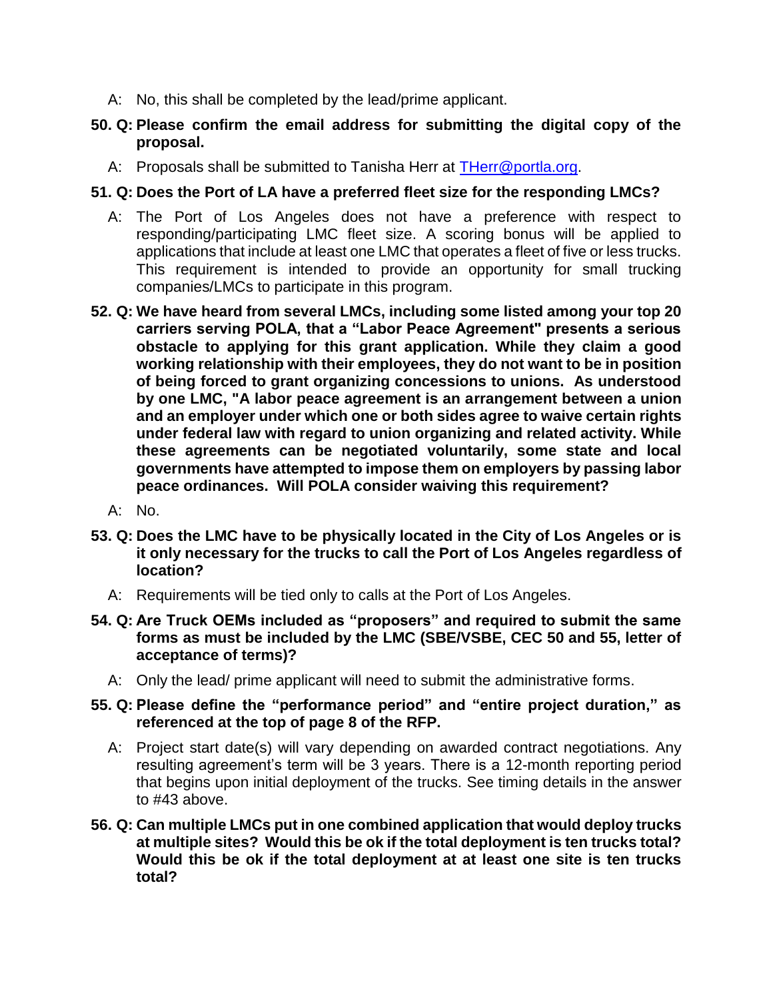- A: No, this shall be completed by the lead/prime applicant.
- **50. Q: Please confirm the email address for submitting the digital copy of the proposal.**
	- A: Proposals shall be submitted to Tanisha Herr at [THerr@portla.org.](mailto:THerr@portla.org)

## **51. Q: Does the Port of LA have a preferred fleet size for the responding LMCs?**

- A: The Port of Los Angeles does not have a preference with respect to responding/participating LMC fleet size. A scoring bonus will be applied to applications that include at least one LMC that operates a fleet of five or less trucks. This requirement is intended to provide an opportunity for small trucking companies/LMCs to participate in this program.
- **52. Q: We have heard from several LMCs, including some listed among your top 20 carriers serving POLA, that a "Labor Peace Agreement" presents a serious obstacle to applying for this grant application. While they claim a good working relationship with their employees, they do not want to be in position of being forced to grant organizing concessions to unions. As understood by one LMC, "A labor peace agreement is an arrangement between a union and an employer under which one or both sides agree to waive certain rights under federal law with regard to union organizing and related activity. While these agreements can be negotiated voluntarily, some state and local governments have attempted to impose them on employers by passing labor peace ordinances. Will POLA consider waiving this requirement?**
	- A: No.
- **53. Q: Does the LMC have to be physically located in the City of Los Angeles or is it only necessary for the trucks to call the Port of Los Angeles regardless of location?**
	- A: Requirements will be tied only to calls at the Port of Los Angeles.
- **54. Q: Are Truck OEMs included as "proposers" and required to submit the same forms as must be included by the LMC (SBE/VSBE, CEC 50 and 55, letter of acceptance of terms)?**
	- A: Only the lead/ prime applicant will need to submit the administrative forms.
- **55. Q: Please define the "performance period" and "entire project duration," as referenced at the top of page 8 of the RFP.**
	- A: Project start date(s) will vary depending on awarded contract negotiations. Any resulting agreement's term will be 3 years. There is a 12-month reporting period that begins upon initial deployment of the trucks. See timing details in the answer to #43 above.
- **56. Q: Can multiple LMCs put in one combined application that would deploy trucks at multiple sites? Would this be ok if the total deployment is ten trucks total? Would this be ok if the total deployment at at least one site is ten trucks total?**